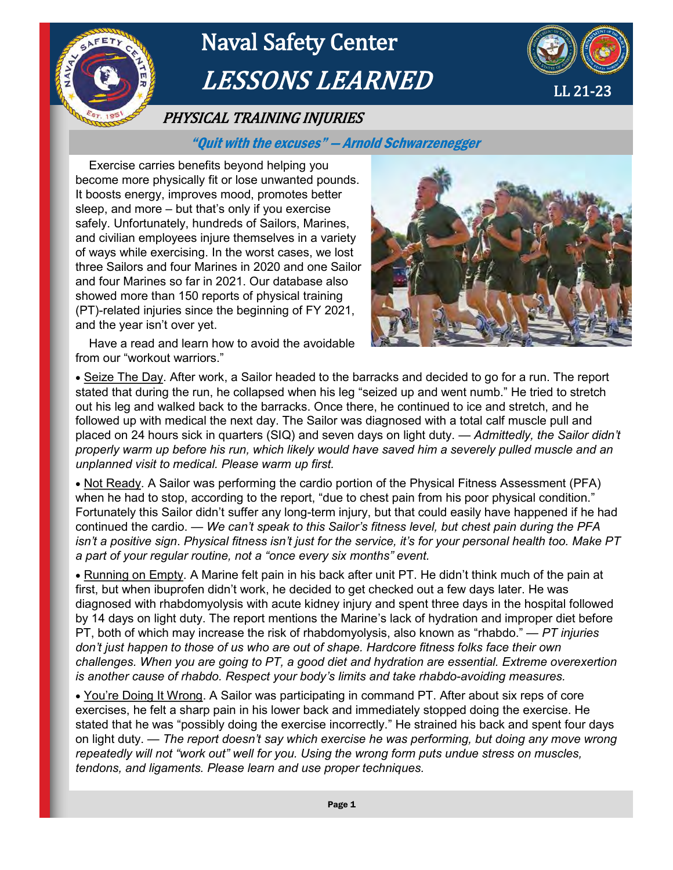

# Naval Safety Center LESSONS LEARNED



## PHYSICAL TRAINING INJURIES

### "Quit with the excuses" — Arnold Schwarzenegger

Exercise carries benefits beyond helping you become more physically fit or lose unwanted pounds. It boosts energy, improves mood, promotes better sleep, and more – but that's only if you exercise safely. Unfortunately, hundreds of Sailors, Marines, and civilian employees injure themselves in a variety of ways while exercising. In the worst cases, we lost three Sailors and four Marines in 2020 and one Sailor and four Marines so far in 2021. Our database also showed more than 150 reports of physical training (PT)-related injuries since the beginning of FY 2021, and the year isn't over yet.



 Have a read and learn how to avoid the avoidable from our "workout warriors."

 Seize The Day. After work, a Sailor headed to the barracks and decided to go for a run. The report stated that during the run, he collapsed when his leg "seized up and went numb." He tried to stretch out his leg and walked back to the barracks. Once there, he continued to ice and stretch, and he followed up with medical the next day. The Sailor was diagnosed with a total calf muscle pull and placed on 24 hours sick in quarters (SIQ) and seven days on light duty. — *Admittedly, the Sailor didn't properly warm up before his run, which likely would have saved him a severely pulled muscle and an unplanned visit to medical. Please warm up first.* 

• Not Ready. A Sailor was performing the cardio portion of the Physical Fitness Assessment (PFA) when he had to stop, according to the report, "due to chest pain from his poor physical condition." Fortunately this Sailor didn't suffer any long-term injury, but that could easily have happened if he had continued the cardio. — *We can't speak to this Sailor's fitness level, but chest pain during the PFA isn't a positive sign*. *Physical fitness isn't just for the service, it's for your personal health too. Make PT a part of your regular routine, not a "once every six months" event.* 

 Running on Empty. A Marine felt pain in his back after unit PT. He didn't think much of the pain at first, but when ibuprofen didn't work, he decided to get checked out a few days later. He was diagnosed with rhabdomyolysis with acute kidney injury and spent three days in the hospital followed by 14 days on light duty. The report mentions the Marine's lack of hydration and improper diet before PT, both of which may increase the risk of rhabdomyolysis, also known as "rhabdo." — *PT injuries don't just happen to those of us who are out of shape. Hardcore fitness folks face their own challenges. When you are going to PT, a good diet and hydration are essential. Extreme overexertion is another cause of rhabdo. Respect your body's limits and take rhabdo-avoiding measures.* 

 You're Doing It Wrong. A Sailor was participating in command PT. After about six reps of core exercises, he felt a sharp pain in his lower back and immediately stopped doing the exercise. He stated that he was "possibly doing the exercise incorrectly." He strained his back and spent four days on light duty. — *The report doesn't say which exercise he was performing, but doing any move wrong repeatedly will not "work out" well for you. Using the wrong form puts undue stress on muscles, tendons, and ligaments. Please learn and use proper techniques.*